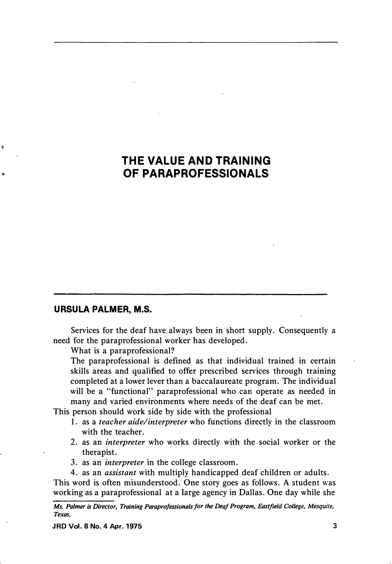## **THE VALUE AND TRAINING OF PARAPROFESSIONALS**

## **URSULA PALMER, M.S.**

e

Services for the deaf have always been in short supply. Consequently a need for the paraprofessional worker has developed.

What is a paraprofessional?

The paraprofessional is defined as that individual trained in certain skills areas and qualified to offer prescribed services through training completed at a lower lever than a baccalaureate program. The individual will be a "functional" paraprofessional who can operate as needed in many and varied environments where needs of the deaf can be met.

This person should work side by side with the professional

- 1. as a *teacher aide/interpreter* who functions directly in the classroom with the teacher.
- 2. as an *interpreter* who works directly with the social worker or the therapist.
- 3. as an *interpreter* in the college classroom.
- 4. as an *assistant* with multiply handicapped deaf children or adults.

This word is often misunderstood. One story goes as follows. A student was working as a paraprofessional at a large agency in Dallas. One day while she

*Ms. Palmer is Director, Training Paraprofessionals for the Deaf Program, Eastjield College, Mesquite, Texas.*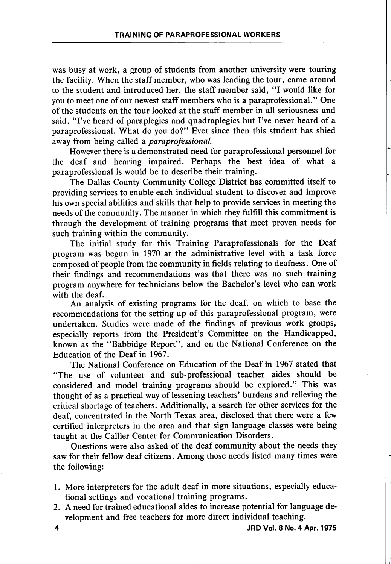was busy at work, a group of students from another university were touring the facility. When the staff member, who was leading the tour, came around to the student and introduced her, the staff member said, "I would like for you to meet one of our newest staff members who is a paraprofessional." One of the students on the tour looked at the staff member in all seriousness and said, "I've heard of paraplegics and quadraplegics but I've never heard of a paraprofessional. What do you do?" Ever since then this student has shied away from being called a paraprofessional.

However there is a demonstrated need for paraprofessional personnel for the deaf and hearing impaired. Perhaps the best idea of what a paraprofessional is would be to describe their training.

The Dallas County Community College District has committed itself to providing services to enable each individual student to discover and improve his own special abilities and skills that help to provide services in meeting the needs of the community. The manner in which they fulfill this commitment is through the development of training programs that meet proven needs for such training within the community.

The initial study for this Training Paraprofessionals for the Deaf program was begun in 1970 at the administrative level with a task force composed of people from the community in fields relating to deafness. One of their findings and recommendations was that there was no such training program anywhere for technicians below the Bachelor's level who can work with the deaf.

An analysis of existing programs for the deaf, on which to base the recommendations for the setting up of this paraprofessional program, were undertaken. Studies were made of the findings of previous work groups, especially reports from the President's Committee on the Handicapped, known as the "Babbidge Report", and on the National Conference on the Education of the Deaf in 1967.

The National Conference on Education of the Deaf in 1967 stated that "The use of volunteer and sub-professional teacher aides should be considered and model training programs should be explored." This was thought of as a practical way of lessening teachers' burdens and relieving the critical shortage of teachers. Additionally, a search for other services for the deaf, concentrated in the North Texas area, disclosed that there were a few certified interpreters in the area and that sign language classes were being taught at the Callier Center for Communication Disorders.

Questions were also asked of the deaf community about the needs they saw for their fellow deaf citizens. Among those needs listed many times were the following:

- 1. More interpreters for the adult deaf in more situations, especially educa tional settings and vocational training programs.
- 2. A need for trained educational aides to increase potential for language de velopment and free teachers for more direct individual teaching.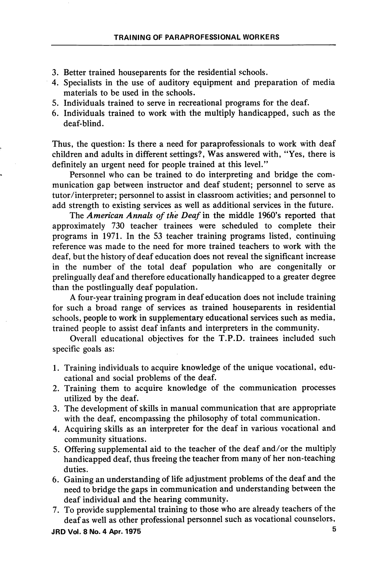- 3. Better trained houseparents for the residential schools.
- 4. Specialists in the use of auditory equipment and preparation of media materials to be used in the schools.
- 5. Individuals trained to serve in recreational programs for the deaf.
- 6. Individuals trained to work with the multiply handicapped, such as the deaf-blind.

Thus, the question: Is there a need for paraprofessionals to work with deaf children and adults in different settings?. Was answered with, "Yes, there is definitely an urgent need for people trained at this level."

Personnel who can be trained to do interpreting and bridge the com munication gap between instructor and deaf student; personnel to serve as tutor/interpreter; personnel to assist in classroom activities; and personnel to add strength to existing services as well as additional services in the future.

The American Annals of the Deaf in the middle 1960's reported that approximately 730 teacher trainees were scheduled to complete their programs in 1971. In the 53 teacher training programs listed, continuing reference was made to the need for more trained teachers to work with the deaf, but the history of deaf education does not reveal the significant increase in the number of the total deaf population who are congenitally or prelingually deaf and therefore educationally handicapped to a greater degree than the postlingually deaf population.

A four-year training program in deaf education does not include training for such a broad range of services as trained houseparents in residential schools, people to work in supplementary educational services such as media, trained people to assist deaf infants and interpreters in the community.

Overall educational objectives for the T.P.D. trainees included such specific goals as:

- 1. Training individuals to acquire knowledge of the unique vocational, edu cational and social problems of the deaf.
- 2. Training them to acquire knowledge of the communication processes utilized by the deaf.
- 3. The development of skills in manual communication that are appropriate with the deaf, encompassing the philosophy of total communication.
- 4. Acquiring skills as an interpreter for the deaf in various vocational and community situations.
- 5. Offering supplemental aid to the teacher of the deaf and/or the multiply handicapped deaf, thus freeing the teacher from many of her non-teaching duties.
- 6. Gaining an understanding of life adjustment problems of the deaf and the need to bridge the gaps in communication and understanding between the deaf individual and the hearing community.
- 7. To provide supplemental training to those who are already teachers of the deaf as well as other professional personnel such as vocational counselors.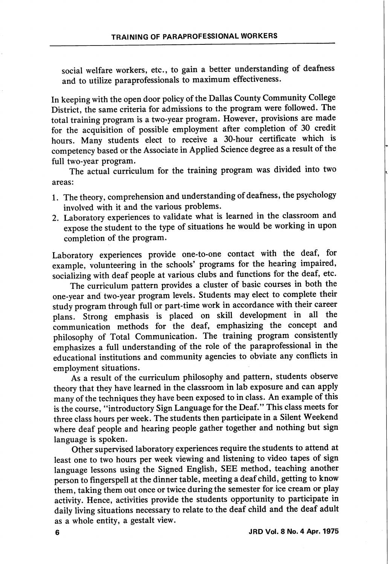social welfare workers, etc., to gain a better understanding of deafness and to utilize paraprofessionals to maximum effectiveness.

In keeping with the open door policy of the Dallas County Community College District, the same criteria for admissions to the program were followed. The total training program is a two-year program. However, provisions are made for the acquisition of possible employment after completion of 30 credit hours. Many students elect to receive a 30-hour certificate which is competency based or the Associate in Applied Science degree as a result of the full two-year program.

The actual curriculum for the training program was divided into two areas:

- 1. The theory, comprehension and understanding of deafness, the psychology involved with it and the various problems.
- 2. Laboratory experiences to validate what is learned in the classroom and expose the student to the type of situations he would be working in upon completion of the program.

Laboratory experiences provide one-to-one contact with the deaf, for example, volunteering in the schools' programs for the hearing impaired, socializing with deaf people at various clubs and functions for the deaf, etc.

The curriculum pattern provides a cluster of basic courses in both the one-year and two-year program levels. Students may elect to complete their study program through full or part-time work in accordance with their career plans. Strong emphasis is placed on skill development in all the communication methods for the deaf, emphasizing the concept and philosophy of Total Communication. The training program consistently emphasizes a full understanding of the role of the paraprofessional in the educational institutions and community agencies to obviate any conflicts in employment situations.

As a result of the curriculum philosophy and pattern, students observe theory that they have learned in the classroom in lab exposure and can apply many of the techniques they have been exposed to in class. An example of this is the course, "introductory Sign Language for the Deaf." This class meets for three class hours per week. The students then participate in a Silent Weekend where deaf people and hearing people gather together and nothing but sign language is spoken.

Other supervised laboratory experiences require the students to attend at least one to two hours per week viewing and listening to video tapes of sign language lessons using the Signed English, SEE method, teaching another person to fmgerspell at the dinner table, meeting a deaf child, getting to know them, taking them out once or twice during the semester for ice cream or play activity. Hence, activities provide the students opportunity to participate in daily living situations necessary to relate to the deaf child and the deaf adult as a whole entity, a gestalt view.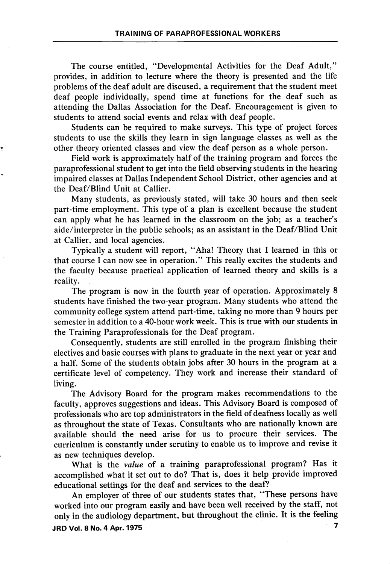The course entitled, "Developmental Activities for the Deaf Adult," provides, in addition to lecture where the theory is presented and the life problems of the deaf adult are discused, a requirement that the student meet deaf people individually, spend time at functions for the deaf such as attending the Dallas Association for the Deaf. Encouragement is given to students to attend social events and relax with deaf people.

Students can be required to make surveys. This type of project forces students to use the skills they learn in sign language classes as well as the other theory oriented classes and view the deaf person as a whole person.

Field work is approximately half of the training program and forces the paraprofessional student to get into the field observing students in the hearing impaired classes at Dallas Independent School District, other agencies and at the Deaf/Blind Unit at Callier.

Many students, as previously stated, will take 30 hours and then seek part-time employment. This type of a plan is excellent because the student can apply what he has learned in the classroom on the job; as a teacher's aide/interpreter in the public schools; as an assistant in the Deaf/Blind Unit at Callier, and local agencies.

Typically a student will report, "Aha! Theory that I learned in this or that course I can now see in operation." This really excites the students and the faculty because practical application of learned theory and skills is a reality.

The program is now in the fourth year of operation. Approximately 8 students have finished the two-year program. Many students who attend the community college system attend part-time, taking no more than 9 hours per semester in addition to a 40-hour work week. This is true with our students in the Training Paraprofessionals for the Deaf program.

Consequently, students are still enrolled in the program finishing their electives and basic courses with plans to graduate in the next year or year and a half. Some of the students obtain jobs after 30 hours in the program at a certificate level of competency. They work and increase their standard of living.

The Advisory Board for the program makes recommendations to the faculty, approves suggestions and ideas. This Advisory Board is composed of professionals who are top administrators in the field of deafness locally as well as throughout the state of Texas. Consultants who are nationally known are available should the need arise for us to procure their services. The curriculum is constantly under scrutiny to enable us to improve and revise it as new techniques develop.

What is the value of a training paraprofessional program? Has it accomplished what it set out to do? That is, does it help provide improved educational settings for the deaf and services to the deaf?

An employer of three of our students states that, "These persons have worked into our program easily and have been well received by the staff, not only in the audiology department, but throughout the clinic. It is the feeling JRD Vol. 8 No. 4 Apr. 1975 7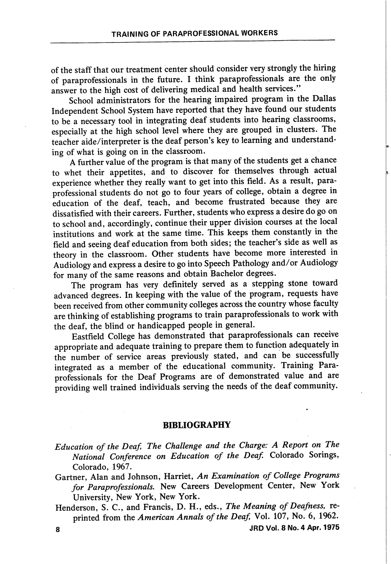of the staff that our treatment center should consider very strongly the hiring of paraprofessionals in the future. I think paraprofessionals are the only answer to the high cost of delivering medical and health services."

School administrators for the hearing impaired program in the Dallas Independent School System have reported that they have found our students to be a necessary tool in integrating deaf students into hearing classrooms, especially at the high school level where they are grouped in clusters. The teacher aide/interpreter is the deaf person's key to learning and understand ing of what is going on in the classroom.

A further value of the program is that many of the students get a chance to whet their appetites, and to discover for themselves through actual experience whether they really want to get into this field. As a result, paraprofessional students do not go to four years of college, obtain a degree in education of the deaf, teach, and become frustrated because they are dissatisfied with their careers. Further, students who express a desire do go on to school and, accordingly, continue their upper division courses at the local institutions and work at the same time. This keeps them constantly in the field and seeing deaf education from both sides; the teacher's side as well as theory in the classroom. Other students have become more interested in Audiology and express a desire to go into Speech Pathology and/or Audiology for many of the same reasons and obtain Bachelor degrees.

The program has very definitely served as a stepping stone toward advanced degrees. In keeping with the value of the program, requests have been received from other community colleges across the country whose faculty are thinking of establishing programs to train paraprofessionals to work with the deaf, the blind or handicapped people in general.

Eastfield College has demonstrated that paraprofessionals can receive appropriate and adequate training to prepare them to function adequately in the number of service areas previously stated, and can be successfully integrated as a member of the educational community. Training Para professionals for the Deaf Programs are of demonstrated value and are providing well trained individuals serving the needs of the deaf community.

## BIBLIOGRAPHY

Education of the Deaf, The Challenge and the Charge: A Report on The National Conference on Education of the Deaf. Colorado Sorings, Colorado, 1967.

Gartner, Alan and Johnson, Harriet, An Examination of College Programs for Paraprofessionals. New Careers Development Center, New York University, New York, New York.

Henderson, S. C., and Francis, D. H., eds., The Meaning of Deafness, reprinted from the American Annals of the Deaf, Vol. 107, No. 6, 1962.

8 JRDVol. 8N0.4 Apr. 1975